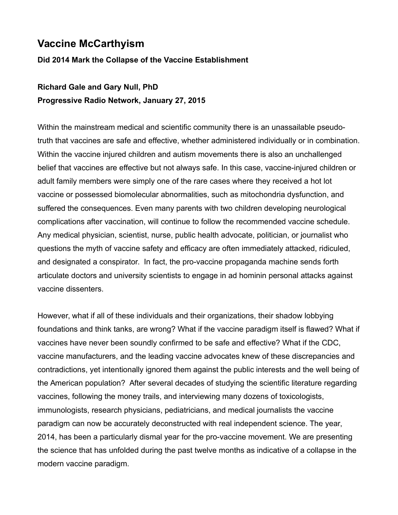# **Vaccine McCarthyism**

#### **Did 2014 Mark the Collapse of the Vaccine Establishment**

# **Richard Gale and Gary Null, PhD Progressive Radio Network, January 27, 2015**

Within the mainstream medical and scientific community there is an unassailable pseudotruth that vaccines are safe and effective, whether administered individually or in combination. Within the vaccine injured children and autism movements there is also an unchallenged belief that vaccines are effective but not always safe. In this case, vaccine-injured children or adult family members were simply one of the rare cases where they received a hot lot vaccine or possessed biomolecular abnormalities, such as mitochondria dysfunction, and suffered the consequences. Even many parents with two children developing neurological complications after vaccination, will continue to follow the recommended vaccine schedule. Any medical physician, scientist, nurse, public health advocate, politician, or journalist who questions the myth of vaccine safety and efficacy are often immediately attacked, ridiculed, and designated a conspirator. In fact, the pro-vaccine propaganda machine sends forth articulate doctors and university scientists to engage in ad hominin personal attacks against vaccine dissenters.

However, what if all of these individuals and their organizations, their shadow lobbying foundations and think tanks, are wrong? What if the vaccine paradigm itself is flawed? What if vaccines have never been soundly confirmed to be safe and effective? What if the CDC, vaccine manufacturers, and the leading vaccine advocates knew of these discrepancies and contradictions, yet intentionally ignored them against the public interests and the well being of the American population? After several decades of studying the scientific literature regarding vaccines, following the money trails, and interviewing many dozens of toxicologists, immunologists, research physicians, pediatricians, and medical journalists the vaccine paradigm can now be accurately deconstructed with real independent science. The year, 2014, has been a particularly dismal year for the pro-vaccine movement. We are presenting the science that has unfolded during the past twelve months as indicative of a collapse in the modern vaccine paradigm.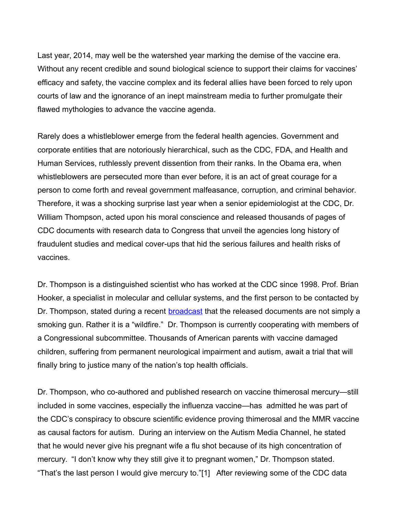Last year, 2014, may well be the watershed year marking the demise of the vaccine era. Without any recent credible and sound biological science to support their claims for vaccines' efficacy and safety, the vaccine complex and its federal allies have been forced to rely upon courts of law and the ignorance of an inept mainstream media to further promulgate their flawed mythologies to advance the vaccine agenda.

Rarely does a whistleblower emerge from the federal health agencies. Government and corporate entities that are notoriously hierarchical, such as the CDC, FDA, and Health and Human Services, ruthlessly prevent dissention from their ranks. In the Obama era, when whistleblowers are persecuted more than ever before, it is an act of great courage for a person to come forth and reveal government malfeasance, corruption, and criminal behavior. Therefore, it was a shocking surprise last year when a senior epidemiologist at the CDC, Dr. William Thompson, acted upon his moral conscience and released thousands of pages of CDC documents with research data to Congress that unveil the agencies long history of fraudulent studies and medical cover-ups that hid the serious failures and health risks of vaccines.

Dr. Thompson is a distinguished scientist who has worked at the CDC since 1998. Prof. Brian Hooker, a specialist in molecular and cellular systems, and the first person to be contacted by Dr. Thompson, stated during a recent **broadcast** that the released documents are not simply a smoking gun. Rather it is a "wildfire." Dr. Thompson is currently cooperating with members of a Congressional subcommittee. Thousands of American parents with vaccine damaged children, suffering from permanent neurological impairment and autism, await a trial that will finally bring to justice many of the nation's top health officials.

Dr. Thompson, who co-authored and published research on vaccine thimerosal mercury—still included in some vaccines, especially the influenza vaccine—has admitted he was part of the CDC's conspiracy to obscure scientific evidence proving thimerosal and the MMR vaccine as causal factors for autism. During an interview on the Autism Media Channel, he stated that he would never give his pregnant wife a flu shot because of its high concentration of mercury. "I don't know why they still give it to pregnant women," Dr. Thompson stated. "That's the last person I would give mercury to."[1] After reviewing some of the CDC data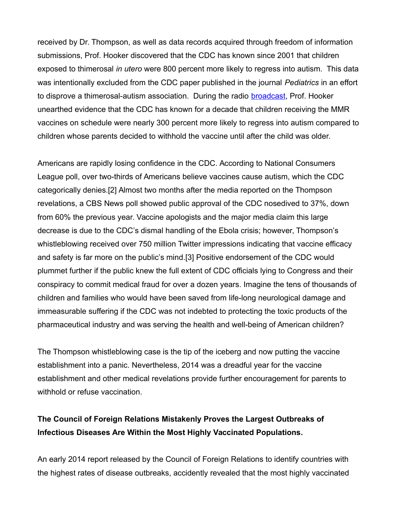received by Dr. Thompson, as well as data records acquired through freedom of information submissions, Prof. Hooker discovered that the CDC has known since 2001 that children exposed to thimerosal *in utero* were 800 percent more likely to regress into autism. This data was intentionally excluded from the CDC paper published in the journal *Pediatrics* in an effort to disprove a thimerosal-autism association. During the radio **broadcast**, Prof. Hooker unearthed evidence that the CDC has known for a decade that children receiving the MMR vaccines on schedule were nearly 300 percent more likely to regress into autism compared to children whose parents decided to withhold the vaccine until after the child was older.

Americans are rapidly losing confidence in the CDC. According to National Consumers League poll, over two-thirds of Americans believe vaccines cause autism, which the CDC categorically denies.[2] Almost two months after the media reported on the Thompson revelations, a CBS News poll showed public approval of the CDC nosedived to 37%, down from 60% the previous year. Vaccine apologists and the major media claim this large decrease is due to the CDC's dismal handling of the Ebola crisis; however, Thompson's whistleblowing received over 750 million Twitter impressions indicating that vaccine efficacy and safety is far more on the public's mind.[3] Positive endorsement of the CDC would plummet further if the public knew the full extent of CDC officials lying to Congress and their conspiracy to commit medical fraud for over a dozen years. Imagine the tens of thousands of children and families who would have been saved from life-long neurological damage and immeasurable suffering if the CDC was not indebted to protecting the toxic products of the pharmaceutical industry and was serving the health and well-being of American children?

The Thompson whistleblowing case is the tip of the iceberg and now putting the vaccine establishment into a panic. Nevertheless, 2014 was a dreadful year for the vaccine establishment and other medical revelations provide further encouragement for parents to withhold or refuse vaccination.

## **The Council of Foreign Relations Mistakenly Proves the Largest Outbreaks of Infectious Diseases Are Within the Most Highly Vaccinated Populations.**

An early 2014 report released by the Council of Foreign Relations to identify countries with the highest rates of disease outbreaks, accidently revealed that the most highly vaccinated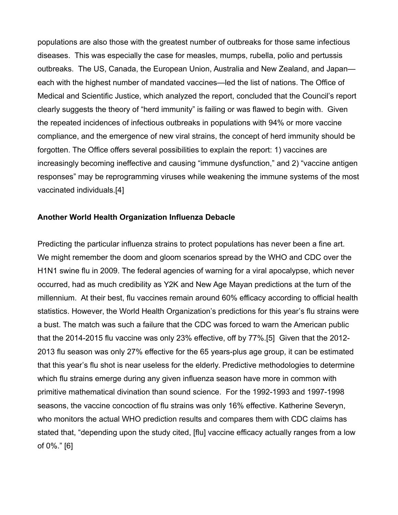populations are also those with the greatest number of outbreaks for those same infectious diseases. This was especially the case for measles, mumps, rubella, polio and pertussis outbreaks. The US, Canada, the European Union, Australia and New Zealand, and Japan each with the highest number of mandated vaccines—led the list of nations. The Office of Medical and Scientific Justice, which analyzed the report, concluded that the Council's report clearly suggests the theory of "herd immunity" is failing or was flawed to begin with. Given the repeated incidences of infectious outbreaks in populations with 94% or more vaccine compliance, and the emergence of new viral strains, the concept of herd immunity should be forgotten. The Office offers several possibilities to explain the report: 1) vaccines are increasingly becoming ineffective and causing "immune dysfunction," and 2) "vaccine antigen responses" may be reprogramming viruses while weakening the immune systems of the most vaccinated individuals.[4]

#### **Another World Health Organization Influenza Debacle**

Predicting the particular influenza strains to protect populations has never been a fine art. We might remember the doom and gloom scenarios spread by the WHO and CDC over the H1N1 swine flu in 2009. The federal agencies of warning for a viral apocalypse, which never occurred, had as much credibility as Y2K and New Age Mayan predictions at the turn of the millennium. At their best, flu vaccines remain around 60% efficacy according to official health statistics. However, the World Health Organization's predictions for this year's flu strains were a bust. The match was such a failure that the CDC was forced to warn the American public that the 2014-2015 flu vaccine was only 23% effective, off by 77%.[5] Given that the 2012- 2013 flu season was only 27% effective for the 65 years-plus age group, it can be estimated that this year's flu shot is near useless for the elderly. Predictive methodologies to determine which flu strains emerge during any given influenza season have more in common with primitive mathematical divination than sound science. For the 1992-1993 and 1997-1998 seasons, the vaccine concoction of flu strains was only 16% effective. Katherine Severyn, who monitors the actual WHO prediction results and compares them with CDC claims has stated that, "depending upon the study cited, [flu] vaccine efficacy actually ranges from a low of 0%." [6]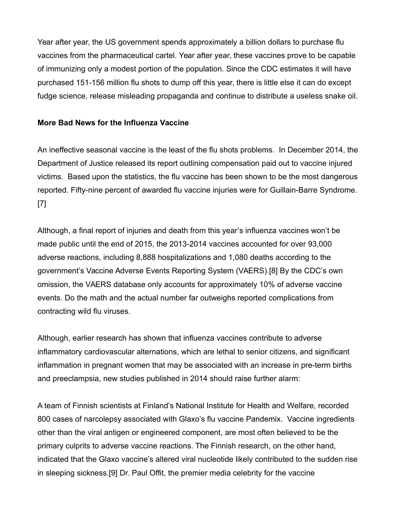Year after year, the US government spends approximately a billion dollars to purchase flu vaccines from the pharmaceutical cartel. Year after year, these vaccines prove to be capable of immunizing only a modest portion of the population. Since the CDC estimates it will have purchased 151-156 million flu shots to dump off this year, there is little else it can do except fudge science, release misleading propaganda and continue to distribute a useless snake oil.

#### **More Bad News for the Influenza Vaccine**

An ineffective seasonal vaccine is the least of the flu shots problems. In December 2014, the Department of Justice released its report outlining compensation paid out to vaccine injured victims. Based upon the statistics, the flu vaccine has been shown to be the most dangerous reported. Fifty-nine percent of awarded flu vaccine injuries were for Guillain-Barre Syndrome. [7]

Although, a final report of injuries and death from this year's influenza vaccines won't be made public until the end of 2015, the 2013-2014 vaccines accounted for over 93,000 adverse reactions, including 8,888 hospitalizations and 1,080 deaths according to the government's Vaccine Adverse Events Reporting System (VAERS).[8] By the CDC's own omission, the VAERS database only accounts for approximately 10% of adverse vaccine events. Do the math and the actual number far outweighs reported complications from contracting wild flu viruses.

Although, earlier research has shown that influenza vaccines contribute to adverse inflammatory cardiovascular alternations, which are lethal to senior citizens, and significant inflammation in pregnant women that may be associated with an increase in pre-term births and preeclampsia, new studies published in 2014 should raise further alarm:

A team of Finnish scientists at Finland's National Institute for Health and Welfare, recorded 800 cases of narcolepsy associated with Glaxo's flu vaccine Pandemix. Vaccine ingredients other than the viral antigen or engineered component, are most often believed to be the primary culprits to adverse vaccine reactions. The Finnish research, on the other hand, indicated that the Glaxo vaccine's altered viral nucleotide likely contributed to the sudden rise in sleeping sickness.[9] Dr. Paul Offit, the premier media celebrity for the vaccine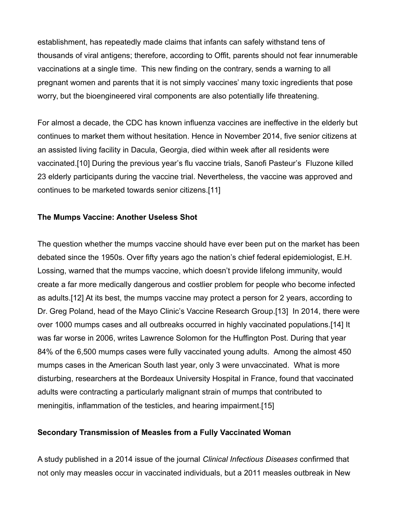establishment, has repeatedly made claims that infants can safely withstand tens of thousands of viral antigens; therefore, according to Offit, parents should not fear innumerable vaccinations at a single time. This new finding on the contrary, sends a warning to all pregnant women and parents that it is not simply vaccines' many toxic ingredients that pose worry, but the bioengineered viral components are also potentially life threatening.

For almost a decade, the CDC has known influenza vaccines are ineffective in the elderly but continues to market them without hesitation. Hence in November 2014, five senior citizens at an assisted living facility in Dacula, Georgia, died within week after all residents were vaccinated.[10] During the previous year's flu vaccine trials, Sanofi Pasteur's Fluzone killed 23 elderly participants during the vaccine trial. Nevertheless, the vaccine was approved and continues to be marketed towards senior citizens.[11]

#### **The Mumps Vaccine: Another Useless Shot**

The question whether the mumps vaccine should have ever been put on the market has been debated since the 1950s. Over fifty years ago the nation's chief federal epidemiologist, E.H. Lossing, warned that the mumps vaccine, which doesn't provide lifelong immunity, would create a far more medically dangerous and costlier problem for people who become infected as adults.[12] At its best, the mumps vaccine may protect a person for 2 years, according to Dr. Greg Poland, head of the Mayo Clinic's Vaccine Research Group.[13] In 2014, there were over 1000 mumps cases and all outbreaks occurred in highly vaccinated populations.[14] It was far worse in 2006, writes Lawrence Solomon for the Huffington Post. During that year 84% of the 6,500 mumps cases were fully vaccinated young adults. Among the almost 450 mumps cases in the American South last year, only 3 were unvaccinated. What is more disturbing, researchers at the Bordeaux University Hospital in France, found that vaccinated adults were contracting a particularly malignant strain of mumps that contributed to meningitis, inflammation of the testicles, and hearing impairment.[15]

#### **Secondary Transmission of Measles from a Fully Vaccinated Woman**

A study published in a 2014 issue of the journal *Clinical Infectious Diseases* confirmed that not only may measles occur in vaccinated individuals, but a 2011 measles outbreak in New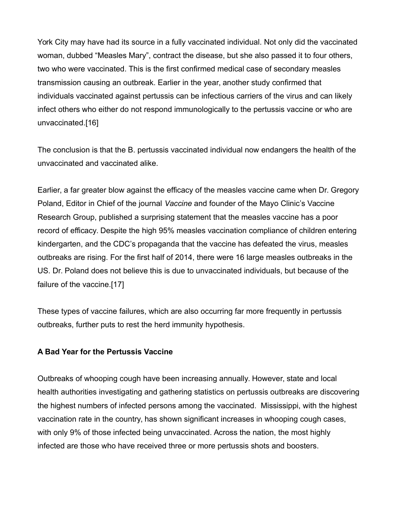York City may have had its source in a fully vaccinated individual. Not only did the vaccinated woman, dubbed "Measles Mary", contract the disease, but she also passed it to four others, two who were vaccinated. This is the first confirmed medical case of secondary measles transmission causing an outbreak. Earlier in the year, another study confirmed that individuals vaccinated against pertussis can be infectious carriers of the virus and can likely infect others who either do not respond immunologically to the pertussis vaccine or who are unvaccinated.[16]

The conclusion is that the B. pertussis vaccinated individual now endangers the health of the unvaccinated and vaccinated alike.

Earlier, a far greater blow against the efficacy of the measles vaccine came when Dr. Gregory Poland, Editor in Chief of the journal *Vaccine* and founder of the Mayo Clinic's Vaccine Research Group, published a surprising statement that the measles vaccine has a poor record of efficacy. Despite the high 95% measles vaccination compliance of children entering kindergarten, and the CDC's propaganda that the vaccine has defeated the virus, measles outbreaks are rising. For the first half of 2014, there were 16 large measles outbreaks in the US. Dr. Poland does not believe this is due to unvaccinated individuals, but because of the failure of the vaccine.[17]

These types of vaccine failures, which are also occurring far more frequently in pertussis outbreaks, further puts to rest the herd immunity hypothesis.

#### **A Bad Year for the Pertussis Vaccine**

Outbreaks of whooping cough have been increasing annually. However, state and local health authorities investigating and gathering statistics on pertussis outbreaks are discovering the highest numbers of infected persons among the vaccinated. Mississippi, with the highest vaccination rate in the country, has shown significant increases in whooping cough cases, with only 9% of those infected being unvaccinated. Across the nation, the most highly infected are those who have received three or more pertussis shots and boosters.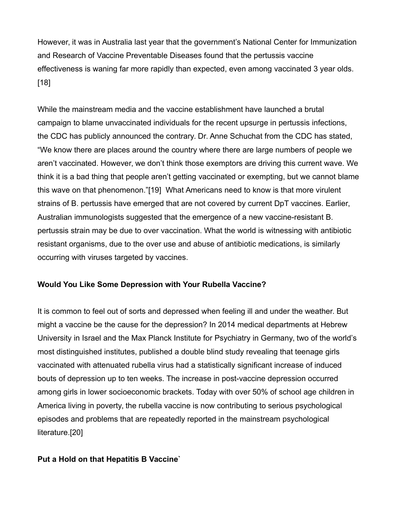However, it was in Australia last year that the government's National Center for Immunization and Research of Vaccine Preventable Diseases found that the pertussis vaccine effectiveness is waning far more rapidly than expected, even among vaccinated 3 year olds. [18]

While the mainstream media and the vaccine establishment have launched a brutal campaign to blame unvaccinated individuals for the recent upsurge in pertussis infections, the CDC has publicly announced the contrary. Dr. Anne Schuchat from the CDC has stated, "We know there are places around the country where there are large numbers of people we aren't vaccinated. However, we don't think those exemptors are driving this current wave. We think it is a bad thing that people aren't getting vaccinated or exempting, but we cannot blame this wave on that phenomenon."[19] What Americans need to know is that more virulent strains of B. pertussis have emerged that are not covered by current DpT vaccines. Earlier, Australian immunologists suggested that the emergence of a new vaccine-resistant B. pertussis strain may be due to over vaccination. What the world is witnessing with antibiotic resistant organisms, due to the over use and abuse of antibiotic medications, is similarly occurring with viruses targeted by vaccines.

#### **Would You Like Some Depression with Your Rubella Vaccine?**

It is common to feel out of sorts and depressed when feeling ill and under the weather. But might a vaccine be the cause for the depression? In 2014 medical departments at Hebrew University in Israel and the Max Planck Institute for Psychiatry in Germany, two of the world's most distinguished institutes, published a double blind study revealing that teenage girls vaccinated with attenuated rubella virus had a statistically significant increase of induced bouts of depression up to ten weeks. The increase in post-vaccine depression occurred among girls in lower socioeconomic brackets. Today with over 50% of school age children in America living in poverty, the rubella vaccine is now contributing to serious psychological episodes and problems that are repeatedly reported in the mainstream psychological literature.[20]

#### **Put a Hold on that Hepatitis B Vaccine`**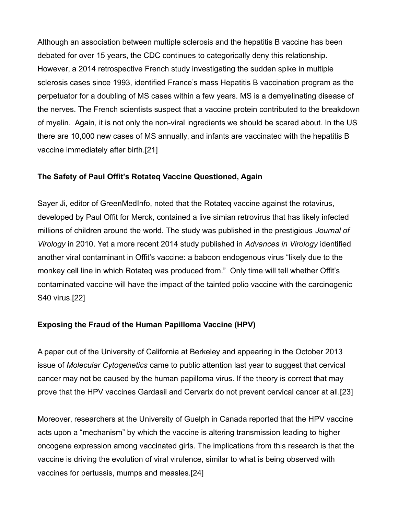Although an association between multiple sclerosis and the hepatitis B vaccine has been debated for over 15 years, the CDC continues to categorically deny this relationship. However, a 2014 retrospective French study investigating the sudden spike in multiple sclerosis cases since 1993, identified France's mass Hepatitis B vaccination program as the perpetuator for a doubling of MS cases within a few years. MS is a demyelinating disease of the nerves. The French scientists suspect that a vaccine protein contributed to the breakdown of myelin. Again, it is not only the non-viral ingredients we should be scared about. In the US there are 10,000 new cases of MS annually, and infants are vaccinated with the hepatitis B vaccine immediately after birth.[21]

#### **The Safety of Paul Offit's Rotateq Vaccine Questioned, Again**

Sayer Ji, editor of GreenMedInfo, noted that the Rotateq vaccine against the rotavirus, developed by Paul Offit for Merck, contained a live simian retrovirus that has likely infected millions of children around the world. The study was published in the prestigious *Journal of Virology* in 2010. Yet a more recent 2014 study published in *Advances in Virology* identified another viral contaminant in Offit's vaccine: a baboon endogenous virus "likely due to the monkey cell line in which Rotateq was produced from." Only time will tell whether Offit's contaminated vaccine will have the impact of the tainted polio vaccine with the carcinogenic S40 virus.[22]

### **Exposing the Fraud of the Human Papilloma Vaccine (HPV)**

A paper out of the University of California at Berkeley and appearing in the October 2013 issue of *Molecular Cytogenetics* came to public attention last year to suggest that cervical cancer may not be caused by the human papilloma virus. If the theory is correct that may prove that the HPV vaccines Gardasil and Cervarix do not prevent cervical cancer at all.[23]

Moreover, researchers at the University of Guelph in Canada reported that the HPV vaccine acts upon a "mechanism" by which the vaccine is altering transmission leading to higher oncogene expression among vaccinated girls. The implications from this research is that the vaccine is driving the evolution of viral virulence, similar to what is being observed with vaccines for pertussis, mumps and measles.[24]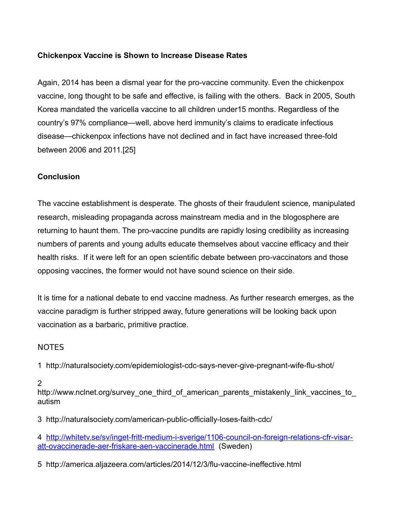#### **Chickenpox Vaccine is Shown to Increase Disease Rates**

Again, 2014 has been a dismal year for the pro-vaccine community. Even the chickenpox vaccine, long thought to be safe and effective, is failing with the others. Back in 2005, South Korea mandated the varicella vaccine to all children under15 months. Regardless of the country's 97% compliance—well, above herd immunity's claims to eradicate infectious disease—chickenpox infections have not declined and in fact have increased three-fold between 2006 and 2011.[25]

### **Conclusion**

The vaccine establishment is desperate. The ghosts of their fraudulent science, manipulated research, misleading propaganda across mainstream media and in the blogosphere are returning to haunt them. The pro-vaccine pundits are rapidly losing credibility as increasing numbers of parents and young adults educate themselves about vaccine efficacy and their health risks. If it were left for an open scientific debate between pro-vaccinators and those opposing vaccines, the former would not have sound science on their side.

It is time for a national debate to end vaccine madness. As further research emerges, as the vaccine paradigm is further stripped away, future generations will be looking back upon vaccination as a barbaric, primitive practice.

#### NOTES

1 http://naturalsociety.com/epidemiologist-cdc-says-never-give-pregnant-wife-flu-shot/

#### 2

http://www.nclnet.org/survey\_one\_third\_of\_american\_parents\_mistakenly\_link\_vaccines\_to autism

3 http://naturalsociety.com/american-public-officially-loses-faith-cdc/

4 [http://whitetv.se/sv/inget-fritt-medium-i-sverige/1106-council-on-foreign-relations-cfr-visar](http://whitetv.se/sv/inget-fritt-medium-i-sverige/1106-council-on-foreign-relations-cfr-visar-att-ovaccinerade-aer-friskare-aen-vaccinerade.html)[att-ovaccinerade-aer-friskare-aen-vaccinerade.html](http://whitetv.se/sv/inget-fritt-medium-i-sverige/1106-council-on-foreign-relations-cfr-visar-att-ovaccinerade-aer-friskare-aen-vaccinerade.html) (Sweden)

5 http://america.aljazeera.com/articles/2014/12/3/flu-vaccine-ineffective.html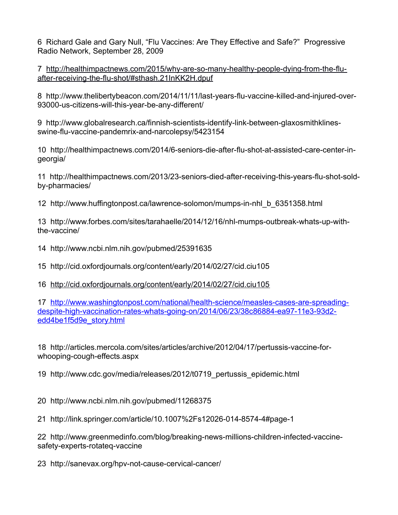6 Richard Gale and Gary Null, "Flu Vaccines: Are They Effective and Safe?" Progressive Radio Network, September 28, 2009

7 [http://healthimpactnews.com/2015/why-are-so-many-healthy-people-dying-from-the-flu](http://healthimpactnews.com/2015/why-are-so-many-healthy-people-dying-from-the-flu-after-receiving-the-flu-shot/#sthash.21InKK2H.dpuf)[after-receiving-the-flu-shot/#sthash.21InKK2H.dpuf](http://healthimpactnews.com/2015/why-are-so-many-healthy-people-dying-from-the-flu-after-receiving-the-flu-shot/#sthash.21InKK2H.dpuf)

8 http://www.thelibertybeacon.com/2014/11/11/last-years-flu-vaccine-killed-and-injured-over-93000-us-citizens-will-this-year-be-any-different/

9 http://www.globalresearch.ca/finnish-scientists-identify-link-between-glaxosmithklinesswine-flu-vaccine-pandemrix-and-narcolepsy/5423154

10 http://healthimpactnews.com/2014/6-seniors-die-after-flu-shot-at-assisted-care-center-ingeorgia/

11 http://healthimpactnews.com/2013/23-seniors-died-after-receiving-this-years-flu-shot-soldby-pharmacies/

12 http://www.huffingtonpost.ca/lawrence-solomon/mumps-in-nhl\_b\_6351358.html

13 http://www.forbes.com/sites/tarahaelle/2014/12/16/nhl-mumps-outbreak-whats-up-withthe-vaccine/

14 http://www.ncbi.nlm.nih.gov/pubmed/25391635

15 http://cid.oxfordjournals.org/content/early/2014/02/27/cid.ciu105

16 <http://cid.oxfordjournals.org/content/early/2014/02/27/cid.ciu105>

17 [http://www.washingtonpost.com/national/health-science/measles-cases-are-spreading](http://www.washingtonpost.com/national/health-science/measles-cases-are-spreading-despite-high-vaccination-rates-whats-going-on/2014/06/23/38c86884-ea97-11e3-93d2-edd4be1f5d9e_story.html)[despite-high-vaccination-rates-whats-going-on/2014/06/23/38c86884-ea97-11e3-93d2](http://www.washingtonpost.com/national/health-science/measles-cases-are-spreading-despite-high-vaccination-rates-whats-going-on/2014/06/23/38c86884-ea97-11e3-93d2-edd4be1f5d9e_story.html) [edd4be1f5d9e\\_story.html](http://www.washingtonpost.com/national/health-science/measles-cases-are-spreading-despite-high-vaccination-rates-whats-going-on/2014/06/23/38c86884-ea97-11e3-93d2-edd4be1f5d9e_story.html)

18 http://articles.mercola.com/sites/articles/archive/2012/04/17/pertussis-vaccine-forwhooping-cough-effects.aspx

19 http://www.cdc.gov/media/releases/2012/t0719\_pertussis\_epidemic.html

20 http://www.ncbi.nlm.nih.gov/pubmed/11268375

21 http://link.springer.com/article/10.1007%2Fs12026-014-8574-4#page-1

22 http://www.greenmedinfo.com/blog/breaking-news-millions-children-infected-vaccinesafety-experts-rotateq-vaccine

23 http://sanevax.org/hpv-not-cause-cervical-cancer/